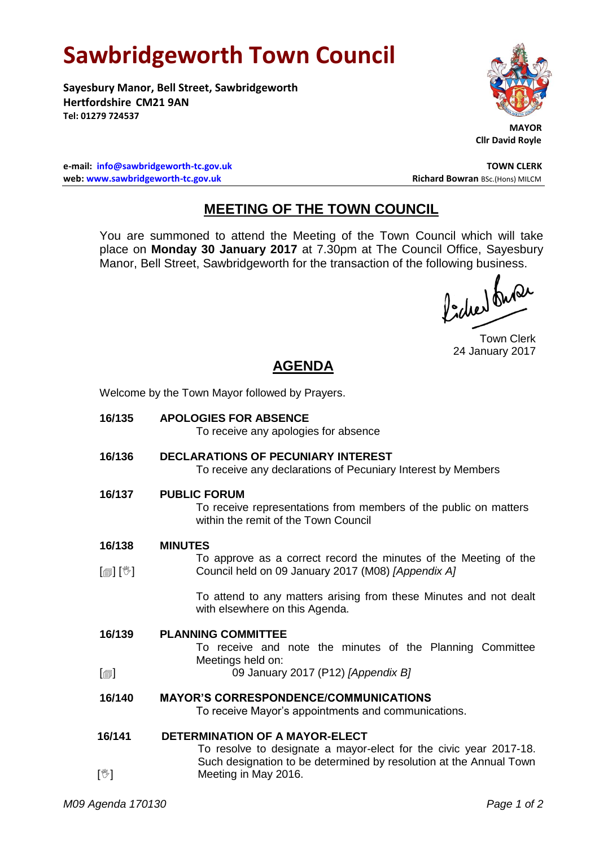# **Sawbridgeworth Town Council**

**Sayesbury Manor, Bell Street, Sawbridgeworth Hertfordshire CM21 9AN Tel: 01279 724537**



**Cllr David Royle**

**e-mail: [info@sawbridgeworth-tc.gov.uk](mailto:info@sawbridgeworth-tc.gov.uk) TOWN CLERK web: www.sawbridgeworth-tc.gov.uk Richard Bowran BSc.(Hons) MILCM Richard Bowran BSc.(Hons) MILCM** 

### **MEETING OF THE TOWN COUNCIL**

You are summoned to attend the Meeting of the Town Council which will take place on **Monday 30 January 2017** at 7.30pm at The Council Office, Sayesbury Manor, Bell Street, Sawbridgeworth for the transaction of the following business.

fidee buse

Town Clerk 24 January 2017

## **AGENDA**

Welcome by the Town Mayor followed by Prayers.

| 16/135                     | <b>APOLOGIES FOR ABSENCE</b><br>To receive any apologies for absence                                                            |
|----------------------------|---------------------------------------------------------------------------------------------------------------------------------|
| 16/136                     | <b>DECLARATIONS OF PECUNIARY INTEREST</b><br>To receive any declarations of Pecuniary Interest by Members                       |
| 16/137                     | <b>PUBLIC FORUM</b><br>To receive representations from members of the public on matters<br>within the remit of the Town Council |
| 16/138                     | <b>MINUTES</b>                                                                                                                  |
|                            | To approve as a correct record the minutes of the Meeting of the                                                                |
| [@] [V]                    | Council held on 09 January 2017 (M08) [Appendix A]                                                                              |
|                            | To attend to any matters arising from these Minutes and not dealt<br>with elsewhere on this Agenda.                             |
| 16/139                     | <b>PLANNING COMMITTEE</b><br>To receive and note the minutes of the Planning Committee<br>Meetings held on:                     |
| $\lbrack \bigcirc \rbrack$ | 09 January 2017 (P12) [Appendix B]                                                                                              |
| 16/140                     | <b>MAYOR'S CORRESPONDENCE/COMMUNICATIONS</b><br>To receive Mayor's appointments and communications.                             |
| 16/141                     | <b>DETERMINATION OF A MAYOR-ELECT</b>                                                                                           |
|                            | To resolve to designate a mayor-elect for the civic year 2017-18.                                                               |
| $[\mathbb{V}]$             | Such designation to be determined by resolution at the Annual Town<br>Meeting in May 2016.                                      |